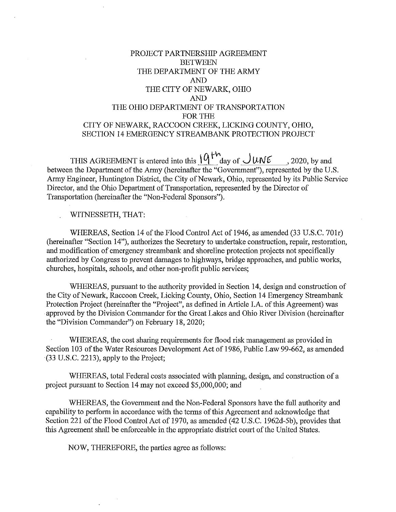# PROJECT PARTNERSHIP AGREEMENT **BETWEEN** THE DEPARTMENT OF THE ARMY AND THE CITY OF NEWARK, OHIO AND THE OHIO DEPARTMENT OF TRANSPORTATION FOR THE CITY OF NEWARK, RACCOON CREEK, LICKING COUNTY, OHIO, SECTION 14 EMERGENCY STREAMBANK PROTECTION PROJECT

THIS AGREEMENT is entered into this  $\frac{\partial \phi}{\partial t}$  day of  $\frac{\partial \phi}{\partial t}$  , 2020, by and between the Department of the Army (hereinafter the "Government"), represented by the U.S. Army Engineer, Huntington District, the City of Newark, Ohio, represented by its Public Service Director, and the Ohio Department of Transportation, represented by the Director of Transportation (hereinafter the "Non-Federal Sponsors").

WITNESSETH, THAT:

WHEREAS, Section 14 of the Flood Control Act of 1946, as amended (33 U.S.C. 701r) (hereinafter "Section 14"), authorizes the Secretary to undertake construction, repair, restoration, and modification of emergency streambank and shoreline protection projects not specifically authorized by Congress to prevent damages to highways, bridge approaches, and public works, churches, hospitals, schools, and other non-profit public services;

WHEREAS, pursuant to the authority provided in Section 14, design and construction of the City of Newark, Raccoon Creek, Licking County, Ohio, Section 14 Emergency Streambank Protection Project (hereinafter the "Project", as defined in Article I.A. of this Agreement) was approved by the Division Commander for the Great Lakes and Ohio River Division (hereinafter the "Division Commander") on February 18, 2020;

WHEREAS, the cost sharing requirements for flood risk management as provided in Section 103 of the Water Resources Development Act of 1986, Public Law 99-662, as amended (33 U.S.C. 2213), apply to the Project;

WHEREAS, total Federal costs associated with planning, design, and construction of a project pursuant to Section 14 may not exceed \$5,000,000; and

WHEREAS, the Government and the Non-Federal Sponsors have the full authority and capability to perform in accordance with the terms of this Agreement and acknowledge that Section 221 of the Flood Control Act of 1970, as amended (42 U.S.C. 1962d-5b), provides that this Agreement shall be enforceable in the appropriate district comt of the United States.

NOW, THEREFORE, the parties agree as follows: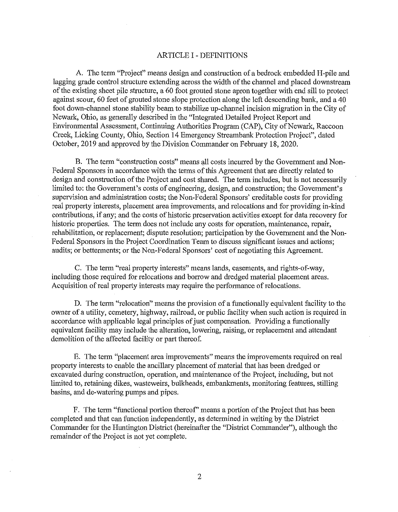#### ARTICLE I - DEFINITIONS

A. The term "Project" means design and construction of a bedrock embedded H-pile and lagging grade control structure extending across the width of the channel and placed downstream of the existing sheet pile structure, a 60 foot grouted stone apron together with end sill to protect against scour, 60 feet of grouted stone slope protection along the left descending bank, and a 40 foot down-channel stone stability beam to stabilize up-channel incision migration in the City of Newark, Ohio, as generally described in the "Integrated Detailed Project Report and Environmental Assessment, Continuing Authorities Program (CAP), City of Newark, Raccoon Creek, Licking County, Ohio, Section 14 Emergency Strearnbank Protection Project", dated October, 2019 and approved by the Division Commander on February 18, 2020.

B. The term "construction costs" means all costs incurred by the Government and Non-Federal Sponsors in accordance with the terms of this Agreement that are directly related to design and construction of the Project and cost shared. The term includes, but is not necessarily limited to: the Government's costs of engineering, design, and construction; the Government's supervision and administration costs; the Non-Federal Sponsors' creditable costs for providing real property interests, placement area improvements, and relocations and for providing in-kind contributions, if any; and the costs of historic preservation activities except for data recovery for historic properties. The term does not include any costs for operation, maintenance, repair, rehabilitation, or replacement; dispute resolution; participation by the Government and the Non-Federal Sponsors in the Project Coordination Team to discuss significant issues and actions; audits; or betterments; or the Non-Federal Sponsors' cost of negotiating this Agreement.

C. The term "real property interests" means lands, easements, and rights-of-way, including those required for relocations and borrow and dredged material placement areas. Acquisition of real property interests may require the performance of relocations.

D. The term "relocation" means the provision of a functionally equivalent facility to the owner of a utility, cemetery, highway, railroad, or public facility when such action is required in accordance with applicable legal principles of just compensation. Providing a functionally equivalent facility may include the alteration, lowering, raising, or replacement and attendant demolition of the affected facility or part thereof.

E. The term "placement area improvements" means the improvements required on real property interests to enable the ancillary placement of material that has been dredged or excavated during construction, operation, and maintenance of the Project, including, but not limited to, retaining dikes, wasteweirs, bulkheads, embankments, monitoring features, stilling basins, and de-watering pumps and pipes.

F. The term "functional portion thereof" means a portion of the Project that has been completed and that can function independently, as determined in writing by the District Commander for the Huntington District (hereinafter the "District Commander"), although the remainder of the Project is not yet complete.

2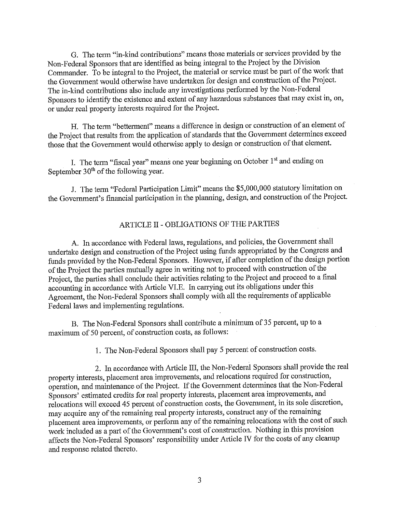G. The term "in-kind contributions" means those materials or services provided by the Non-Federal Sponsors that are identified as being integral to the Project by the Division Commander. To be integral to the Project, the material or service must be part of the work that the Government would otherwise have undertaken for design and construction of the Project. The in-kind contributions also include any investigations performed by the Non-Federal Sponsors to identify the existence and extent of any hazardous substances that may exist in, on, or under real property interests required for the Project.

H. The term "betterment" means a difference in design or construction of an element of the Project that results from the application of standards that the Government determines exceed those that the Government would otherwise apply to design or construction of that element.

I. The term "fiscal year" means one year beginning on October 1<sup>st</sup> and ending on September  $30<sup>th</sup>$  of the following year.

J. The term "Federal Participation Limit" means the \$5,000,000 statutory limitation on the Government's financial participation in the planning, design, and construction of the Project.

# ARTICLE II - OBLIGATIONS OF THE PARTIES

A. In accordance with Federal laws, regulations, and policies, the Government shall undertake design and construction of the Project using funds appropriated by the Congress and funds provided by the Non-Federal Sponsors. However, if after completion of the design portion of the Project the parties mutually agree in writing not to proceed with construction of the Project, the parties shall conclude their activities relating to the Project and proceed to a final accounting in accordance with Article VI.E. In carrying out its obligations under this Agreement, the Non-Federal Sponsors shall comply with all the requirements of applicable Federal laws and implementing regulations.

B. The Non-Federal Sponsors shall contribute a minimum of 35 percent, up to a maximum of 50 percent, of construction costs, as follows:

1. The Non-Federal Sponsors shall pay 5 percent of construction costs.

2. In accordance with Article III, the Non-Federal Sponsors shall provide the real property interests, placement area improvements, and relocations required for construction, operation, and maintenance of the Project. If the Government determines that the Non-Federal Sponsors' estimated credits for real property interests, placement area improvements, and relocations will exceed 45 percent of construction costs, the Government, in its sole discretion, may acquire any of the remaining real property interests, construct any of the remaining placement area improvements, or perform any of the remaining relocations with the cost of such work included as a part of the Government's cost of construction. Nothing in this provision affects the Non-Federal Sponsors' responsibility under Article IV for the costs of any cleanup and response related thereto.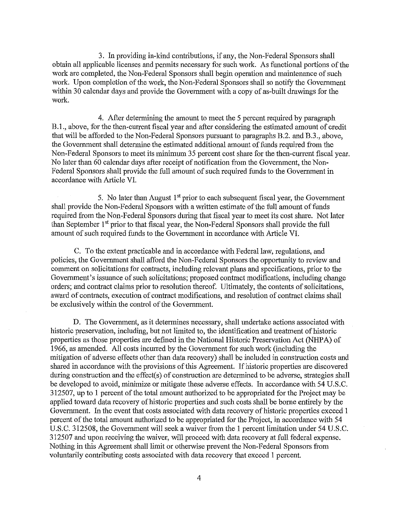3. In providing in-kind contributions, if any, the Non-Federal Sponsors shall obtain all applicable licenses and permits necessary for such work. As functional portions of the work are completed, the Non-Federal Sponsors shall begin operation and maintenance of such work. Upon completion of the work, the Non-Federal Sponsors shall so notify the Government within 30 calendar days and provide the Govemment with a copy of as-built drawings for the work.

4. After determining the amount to meet the 5 percent required by paragraph B.l ., above, for the then-current fiscal year and after considering the estimated amount of credit that will be afforded to the Non-Federal Sponsors pursuant to paragraphs B.2. and B.3., above, the Government shall determine the estimated additional amount of funds required from the Non-Federal Sponsors to meet its minimum 35 percent cost share for the then-current fiscal year. No later than 60 calendar days after receipt of notification from the Govennnent, the Non-Federal Sponsors shall provide the full amount of such required funds to the Government in accordance with Article VI.

5. No later than August  $1<sup>st</sup>$  prior to each subsequent fiscal year, the Government shall provide the Non-Federal Sponsors with a written estimate of the full amount of funds required from the Non-Federal Sponsors during that fiscal year to meet its cost share. Not later than September 1<sup>st</sup> prior to that fiscal year, the Non-Federal Sponsors shall provide the full amount of such required funds to the Government in accordance with Article VI.

C. To the extent practicable and in accordance with Federal law, regulations, and policies, the Government shall afford the Non-Federal Sponsors the opportunity to review and comment on solicitations for contracts, including relevant plans and specifications, prior to the Government's issuance of such solicitations; proposed contract modifications, including change orders; and contract claims prior to resolution thereof. Ultimately, the contents of solicitations, award of contracts, execution of contract modifications, and resolution of contract claims shall be exclusively within the control of the Government.

D. The Government, as it determines necessary, shall undertake actions associated with historic preservation, including, but not limited to, the identification and treatment of historic properties as those properties are defined in the National Historic Preservation Act (NHPA) of 1966, as amended. All costs incurred by the Government for such work (including the mitigation of adverse effects other than data recovery) shall be included in construction costs and shared in accordance with the provisions of this Agreement. If historic properties are discovered during construction and the effect(s) of construction are determined to be adverse, strategies shall be developed to avoid, minimize or mitigate these adverse effects. In accordance with 54 U.S.C. 312507, up to 1 percent of the total amount authorized to be appropriated for the Project may be applied toward data recovery of historic properties and such costs shall be borne entirely by the Government. In the event that costs associated with data recovery of historic properties exceed 1 percent of the total amount authorized to be appropriated for the Project, in accordance with 54 U.S.C. 312508, the Government will seek a waiver from the 1 percent limitation under 54 U.S.C. 312507 and upon receiving the waiver, will proceed with data recovery at full federal expense. Nothing in this Agreement shall limit or otherwise prevent the Non-Federal Sponsors from voluntarily contributing costs associated with data recovery that exceed 1 percent.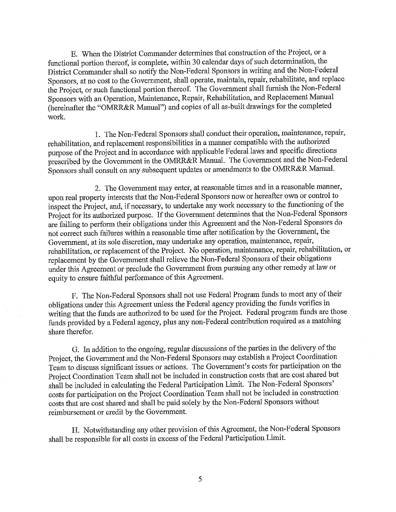E. When the District Connnander determines that construction of the Project, or a functional portion thereof, is complete, within 30 calendar days of such determination, the District Commander shall so notify the Non-Federal Sponsors in writing and the Non-Federal Sponsors, at no cost to the Government, shall operate, maintain, repair, rehabilitate, and replace the Project, or such functional portion thereof. The Government shall furnish the Non-Federal Sponsors with an Operation, Maintenance, Repair, Rehabilitation, and Replacement Manual (hereinafter the "OMRR&R Manual") and copies of all as-built drawings for the completed work.

1. The Non-Federal Sponsors shall conduct their operation, maintenance, repair, rehabilitation, and replacement responsibilities in a manner compatible with the authorized purpose of the Project and in accordance with applicable Federal laws and specific directions prescribed by the Government in the OMRR&R Manual. The Government and the Non-Federal Sponsors shall consult on any subsequent updates or amendments to the OMRR&R Manual.

2. The Government may enter, at reasonable times and in a reasonable manner, upon real property interests that the Non-Federal Sponsors now or hereafter own or control to inspect the Project, and, if necessary, to undertake any work necessary to the functioning of the Project for its authorized purpose. If the Government determines that the Non-Federal Sponsors are failing to perform their obligations under this Agreement and the Non-Federal Sponsors do not correct such failures within a reasonable time after notification by the Government, the Government, at its sole discretion, may undertalce any operation, maintenance, repair, rehabilitation, or replacement of the Project. No operation, maintenance, repair, rehabilitation, or replacement by the Government shall relieve the Non-Federal Sponsors oftheir obligations under this Agreement or preclude the Government from pursuing any other remedy at law or equity to ensure faithful performance of this Agreement.

F. The Non-Federal Sponsors shall not use Federal Program funds to meet any of their obligations under this Agreement unless the Federal agency providing the funds verifies in writing that the funds are authorized to be used for the Project. Federal program funds are those funds provided by a Federal agency, plus any non-Federal contribution required as a matching share therefor.

G. In addition to the ongoing, regular discussions of the parties in the delivery of the Project, the Government and the Non-Federal Sponsors may establish a Project Coordination Team to discuss significant issues or actions. The Government's costs for participation on the Project Coordination Team shall not be included in construction costs that are cost shared but shall be included in calculating the Federal Participation Limit. The Non-Federal Sponsors' costs for participation on the Project Coordination Team shall not be included in construction costs that are cost shared and shall be paid solely by the Non-Federal Sponsors without reimbursement or credit by the Government.

H. Notwithstanding any other provision of this Agreement, the Non-Federal Sponsors shall be responsible for all costs in excess of the Federal Participation Limit.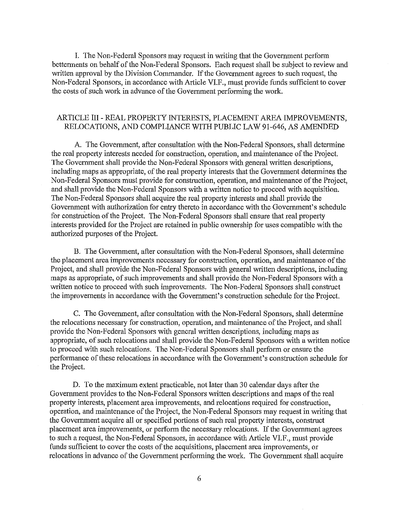I. The Non-Federal Sponsors may request in writing that the Government perform betterments on behalf of the Non-Federal Sponsors. Each request shall be subject to review and written approval by the Division Commander. If the Government agrees to such request, the Non-Federal Sponsors, in accordance with Article VLF., must provide funds sufficient to cover the costs of such work in advance of the Government performing the work.

## ARTICLE III - REAL PROPERTY INTERESTS, PLACEMENT AREA IMPROVEMENTS, RELOCATIONS, AND COMPLIANCE WITH PUBLIC LAW 91-646, AS AMENDED

A. The Government, after consultation with the Non-Federal Sponsors, shall determine the real property interests needed for construction, operation, and maintenance of the Project. The Government shall provide the Non-Federal Sponsors with general written descriptions, including maps as appropriate, of the real property interests that the Government determines the Non-Federal Sponsors must provide for construction, operation, and maintenance of the Project, and shall provide the Non-Federal Sponsors with a written notice to proceed with acquisition. The Non-Federal Sponsors shall acquire the real property interests and shall provide the Government with authorization for entry thereto in accordance with the Government's schedule for construction of the Project. The Non-Federal Sponsors shall ensure that real property interests provided for the Project are retained in public ownership for uses compatible with the authorized purposes of the Project.

B. The Government, after consultation with the Non-Federal Sponsors, shall determine the placement area improvements necessary for construction, operation, and maintenance of the Project, and shall provide the Non-Federal Sponsors with general written descriptions, including maps as appropriate, of such improvements and shall provide the Non-Federal Sponsors with a written notice to proceed with such improvements. The Non-Federal Sponsors shall construct the improvements in accordance with the Government's construction schedule for the Project.

C. The Government, after consultation with the Non-Federal Sponsors, shall determine the relocations necessary for construction, operation, and maintenance of the Project, and shall provide the Non-Federal Sponsors with general written descriptions, including maps as appropriate, of such relocations and shall provide the Non-Federal Sponsors with a written notice to proceed with such relocations. The Non-Federal Sponsors shall perform or ensure the performance ofthese relocations in accordance with the Government's construction schedule for the Project.

D. To the maximum extent practicable, not later than 30 calendar days after the Government provides to the Non-Federal Sponsors written descriptions and maps of the real property interests, placement area improvements, and relocations required for construction, operation, and maintenance of the Project, the Non-Federal Sponsors may request in writing that the Government acquire all or specified portions of such real property interests, construct placement area improvements, or perform the necessary relocations. If the Government agrees to such a request, the Non-Federal Sponsors, in accordance with Article VLF., must provide funds sufficient to cover the costs of the acquisitions, placement area improvements, or relocations in advance of the Government performing the work. The Government shall acquire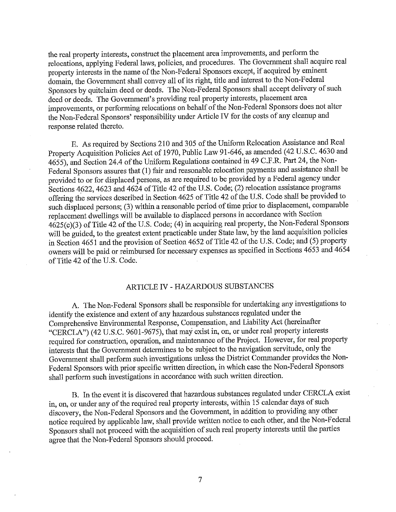the real property interests, construct the placement area improvements, and perform the relocations, applying Federal laws, policies, and procedures. The Govermnent shall acquire real property interests in the name of the Non-Federal Sponsors except, if acquired by eminent domain, the Govermnent shall convey all ofits right, title and interest to the Non-Federal Sponsors by quitclaim deed or deeds. The Non-Federal Sponsors shall accept delivery of such deed or deeds. The Government's providing real property interests, placement area improvements, or performing relocations on behalf of the Non-Federal Sponsors does not alter the Non-Federal Sponsors' responsibility under Article IV for the costs of any cleanup and response related thereto.

E. As required by Sections 210 and 305 of the Uniform Relocation Assistance and Real Property Acquisition Policies Act of 1970, Public Law 91-646, as amended (42 U.S.C. 4630 and 4655), and Section 24.4 of the Uniform Regulations contained in 49 C.F.R. Part 24, the Non-Federal Sponsors assures that (1) fair and reasonable relocation payments and assistance shall be provided to or for displaced persons, as are required to be provided by a Federal agency under Sections 4622, 4623 and 4624 of Title 42 of the U.S. Code; (2) relocation assistance programs offering the services described in Section 4625 of Title 42 of the U.S. Code shall be provided to such displaced persons; (3) within a reasonable period of time prior to displacement, comparable replacement dwellings will be available to displaced persons in accordance with Section  $4625(c)(3)$  of Title  $42$  of the U.S. Code; (4) in acquiring real property, the Non-Federal Sponsors will be guided, to the greatest extent practicable under State law, by the land acquisition policies in Section 4651 and the provision of Section 4652 of Title 42 of the U.S. Code; and (5) property owners will be paid or reimbursed for necessary expenses as specified in Sections 4653 and 4654 of Title 42 of the U.S. Code.

### ARTICLE IV - HAZARDOUS SUBSTANCES

A. The Non-Federal Sponsors shall be responsible for undertaking any investigations to identify the existence and extent of any hazardous substances regulated under the Comprehensive Environmental Response, Compensation, and Liability Act (hereinafter "CERCLA") ( 42 U.S.C. 9601-9675), that may exist in, on, or under real property interests required for construction, operation, and maintenance of the Project. However, for real property interests that the Govermnent determines to be subject to the navigation servitude, only the Government shall perform such investigations nnless the District Commander provides the Non-Federal Sponsors with prior specific written direction, in which case the Non-Federal Sponsors shall perform such investigations in accordance with such written direction.

B. In the event it is discovered that hazardous substances regulated under CERCLA exist in, on, or under any of the required real property interests, within 15 calendar days of such discovery, the Non-Federal Sponsors and the Govermnent, in addition to providing any other notice required by applicable law, shall provide written notice to each other, and the Non-Federal Sponsors shall not proceed with the acquisition of such real property interests until the parties agree that the Non-Federal Sponsors should proceed.

7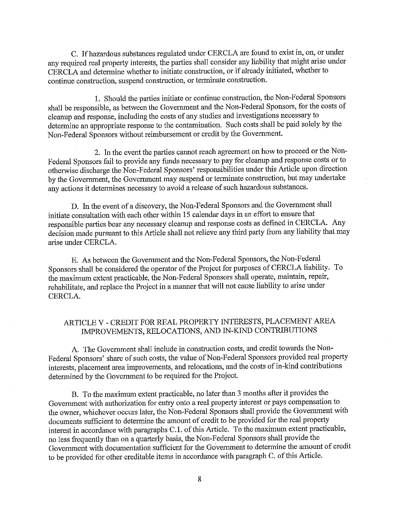C. Ifhazardous substances regulated under CERCLA are found to exist in, on, or under any required real property interests, the parties shall consider any liability that might arise under CERCLA and determine whether to initiate construction, or if already initiated, whether to continue construction, suspend construction, or terminate construction.

1. Should the patties initiate or continue construction, the Non-Federal Sponsors shall be responsible, as between the Government and the Non-Federal Sponsors, for the costs of cleanup and response, including the costs of any studies and investigations necessary to determine an appropriate response to the contamination. Such costs shall be paid solely by the Non-Federal Sponsors without reimbursement or credit by the Government.

2. In the event the parties carmot reach agreement on how to proceed or the Non-Federal Sponsors fail to provide any funds necessary to pay for cleanup and response costs or to otherwise discharge the Non-Federal Sponsors' responsibilities under this Article upon direction by the Government, the Government may suspend or terminate construction, but may undertake any actions it determines necessary to avoid a release of such hazardous substances.

D. In the event of a discovery, the Non-Federal Sponsors and the Government shall initiate consultation with each other within 15 calendar days in an effort to ensure that responsible parties bear any necessary cleanup and response costs as defined in CERCLA. Any decision made pursuant to this Article shall not relieve any third party from any liability that may arise under CERCLA.

E. As between the Government and the Non-Federal Sponsors, the Non-Federal Sponsors shall be considered the operator of the Project for purposes of CERCLA liability. To the maximum extent practicable, the Non-Federal Sponsors shall operate, maintain, repair, rehabilitate, and replace the Project in a manner that will not cause liability to arise under CERCLA.

# ARTICLE V - CREDIT FOR REAL PROPERTY INTERESTS, PLACEMENT AREA IMPROVEMENTS, RELOCATIONS, AND IN-KIND CONTRIBUTIONS

A. The Government shall include in construction costs, and credit towards the Non-Federal Sponsors' share of such costs, the value of Non-Federal Sponsors provided real property interests, placement area improvements, and relocations, and the costs of in-kind contributions determined by the Government to be required for the Project.

B. To the maximum extent practicable, no later than 3 months after it provides the Government with authorization for entry onto a real property interest or pays compensation to the owner, whichever occurs later, the Non-Federal Sponsors shall provide the Government with documents sufficient to determine the amount of credit to be provided for the real property interest in accordance with paragraphs C.1. of this Article. To the maximum extent practicable, no less frequently than on a quarterly basis, the Non-Federal Sponsors shall provide the Government with documentation sufficient for the Government to determine the amount of credit to be provided for other creditable items in accordance with paragraph C. of this Article.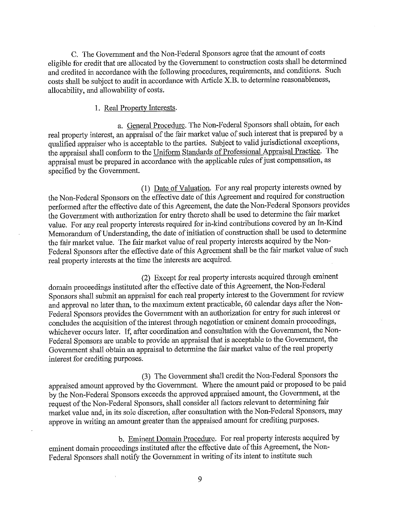C. The Government and the Non-Federal Sponsors agree that the amount of costs eligible for credit that are allocated by the Govemment to construction costs shall be determined and credited in accordance with the following procedures, requirements, and conditions. Such costs shall be subject to audit in accordance with Article X.B. to determine reasonableness, allocability, and allowability of costs.

#### 1. Real Property Interests.

a. General Procedure. The Non-Federal Sponsors shall obtain, for each real property interest, an appraisal of the fair market value of such interest that is prepared by a qualified appraiser who is acceptable to the parties. Subject to valid jurisdictional exceptions, the appraisal shall conform to the Uniform Standards of Professional Appraisal Practice. The appraisal must be prepared in accordance with the applicable rules of just compensation, as specified by the Government.

(1) Date of Valuation. For any real property interests owned by the Non-Federal Sponsors on the effective date of this Agreement and required for construction performed after the effective date of this Agreement, the date the Non-Federal Sponsors provides the Government with authorization for entry thereto shall be used to determine the fair market value. For any real property interests required for in-kind contributions covered by an In-Kind Memorandum of Understanding, the date of initiation of construction shall be used to determine the fair market value. The fair market value of real property interests acquired by the Non-Federal Sponsors after the effective date of this Agreement shall be the fair market value of such real property interests at the time the interests are acquired.

(2) Except for real property interests acquired through eminent domain proceedings instituted after the effective date ofthis Agreement, the Non-Federal Sponsors shall submit an appraisal for each real property interest to the Government for review and approval no later than, to the maximum extent practicable, 60 calendar days after the Non-Federal Sponsors provides the Government with an authorization for entry for such interest or concludes the acquisition of the interest through negotiation or eminent domain proceedings, whichever occurs later. If, after coordination and consultation with the Government, the Non-Federal Sponsors are unable to provide an appraisal that is acceptable to the Government, the Government shall obtain an appraisal to determine the fair market value of the real property interest for crediting purposes.

(3) The Govemment shall credit the Non-Federal Sponsors the appraised amount approved by the Government. Where the amount paid or proposed to be paid by the Non-Federal Sponsors exceeds the approved appraised amount, the Govemment, at the request of the Non-Federal Sponsors, shall consider all factors relevant to determining fair market value and, in its sole discretion, after consultation with the Non-Federal Sponsors, may approve in writing an amount greater than the appraised amount for crediting purposes.

b. Eminent Domain Procedure. For real property interests acquired by eminent domain proceedings instituted after the effective date of this Agreement, the Non-Federal Sponsors shall notify the Government in writing of its intent to institute such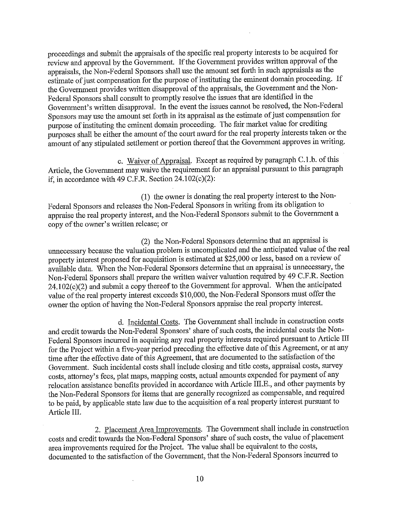proceedings and submit the appraisals of the specific real property interests to be acquired for review and approval by the Government. If the Government provides written approval of the appraisals, the Non-Federal Sponsors shall use the amount set forth in such appraisals as the estimate of just compensation for the purpose of instituting the eminent domain proceeding. If the Government provides written disapproval of the appraisals, the Government and the Non-Federal Sponsors shall consult to promptly resolve the issues that are identified in the Government's written disapproval. In the event the issues cannot be resolved, the Non-Federal Sponsors may use the amount set forth in its appraisal as the estimate of just compensation for purpose of instituting the eminent domain proceeding. The fair market value for crediting purposes shall be either the amount of the court award for the real property interests taken or the amount of any stipulated settlement or portion thereof that the Government approves in writing.

c. Waiver of Appraisal. Except as required by paragraph C.l.b. of this Article, the Government may waive the requirement for an appraisal pursuant to this paragraph if, in accordance with 49 C.F.R. Section  $24.102(c)(2)$ :

(1) the owner is donating the real property interest to the Non-Federal Sponsors and releases the Non-Federal Sponsors in writing from its obligation to appraise the real property interest, and the Non-Federal Sponsors submit to the Government a copy of the owner's written release; or

(2) the Non-Federal Sponsors determine that an appraisal is unnecessary because the valuation problem is uncomplicated and the anticipated value of the real property interest proposed for acquisition is estimated at \$25,000 or less, based on a review of available data. When the Non-Federal Sponsors determine that an appraisal is unnecessary, the Non-Federal Sponsors shall prepare the written waiver valuation required by 49 C.F.R. Section 24.102(c)(2) and submit a copy thereof to the Government for approval. When the anticipated value of the real property interest exceeds \$10,000, the Non-Federal Sponsors must offer the owner the option of having the Non-Federal Sponsors appraise the real property interest.

d. Incidental Costs. The Government shall include in construction costs and credit towards the Non-Federal Sponsors' share of such costs, the incidental costs the Non-Federal Sponsors incurred in acquiring any real property interests required pursuant to Article III for the Project within a five-year period preceding the effective date of this Agreement, or at any time after the effective date of this Agreement, that are documented to the satisfaction of the Government. Such incidental costs shall include closing and title costs, appraisal costs, survey costs, attorney's fees, plat maps, mapping costs, actual amounts expended for payment of any relocation assistance benefits provided in accordance with Article III.E., and other payments by the Non-Federal Sponsors for items that are generally recognized as compensable, and required to be paid, by applicable state law due to the acquisition of a real property interest pursuant to Article III.

2. Placement Area Improvements. The Government shall include in construction costs and credit towards the Non-Federal Sponsors' share of such costs, the value of placement area improvements required for the Project. The value shall be equivalent to the costs, documented to the satisfaction of the Government, that the Non-Federal Sponsors incurred to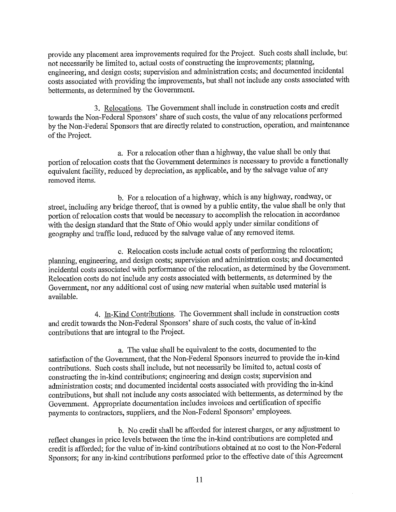provide any placement area improvements required for the Project. Such costs shall include, but not necessarily be limited to, actual costs of constructing the improvements; planning, engineering, and design costs; supervision and administration costs; and documented incidental costs associated with providing the improvements, but shall not include any costs associated with betterments, as determined by the Government.

3. Relocations. The Government shall include in construction costs and credit towards the Non-Federal Sponsors' share of such costs, the value of any relocations performed by the Non-Federal Sponsors that are directly related to construction, operation, and maintenance of the Project.

a. For a relocation other than a highway, the value shall be only that portion of relocation costs that the Government determines is necessary to provide a functionally equivalent facility, reduced by depreciation, as applicable, and by the salvage value of any removed items.

b. For a relocation of a highway, which is any highway, roadway, or street, including any bridge thereof, that is owned by a public entity, the value shall be only that portion of relocation costs that would be necessary to accomplish the relocation in accordance with the design standard that the State of Ohio would apply under similar conditions of geography and traffic load, reduced by the salvage value of any removed items.

c. Relocation costs include actual costs of performing the relocation; planning, engineering, and design costs; supervision and administration costs; and documented incidental costs associated with performance of the relocation, as determined by the Government. Relocation costs do not include any costs associated with betterments, as determined by the Government, nor any additional cost of using new material when suitable used material is available.

4. In-Kind Contributions. The Government shall include in construction costs and credit towards the Non-Federal Sponsors' share of such costs, the value of in-kind contributions that are integral to the Project.

a. The value shall be equivalent to the costs, documented to the satisfaction of the Government, that the Non-Federal Sponsors incurred to provide the in-kind contributions. Such costs shall include, but not necessarily be limited to, actual costs of constructing the in-kind contributions; engineering and design costs; supervision and administration costs; and documented incidental costs associated with providing the in-kind contributions, but shall not include any costs associated with betterments, as determined by the Government. Appropriate documentation includes invoices and certification of specific payments to contractors, suppliers, and the Non-Federal Sponsors' employees.

b. No credit shall be afforded for interest charges, or any adjustment to reflect changes in price levels between the time the in-kind contributions are completed and credit is afforded; for the value of in-kind contributions obtained at no cost to the Non-Federal Sponsors; for any in-kind contributions performed prior to the effective date of this Agreement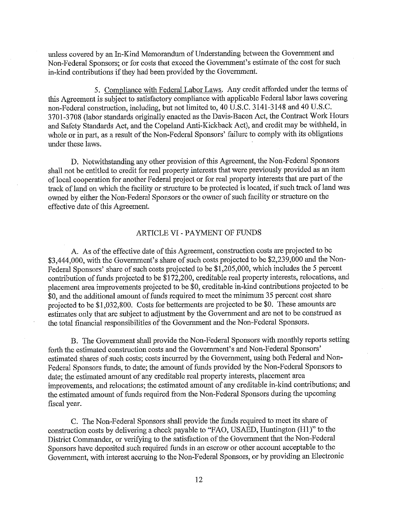unless covered by an In-Kind Memorandum of Understanding between the Government and Non-Federal Sponsors; or for costs that exceed the Government's estimate of the cost for such in-kind contributions if they had been provided by the Government.

5. Compliance with Federal Labor Laws. Any credit afforded under the terms of this Agreement is subject to satisfactory compliance with applicable Federal labor laws covering non-Federal construction, including, but not limited to, 40 U.S.C. 3141-3148 and 40 U.S.C. 3701-3708 (labor standards miginally enacted as the Davis-Bacon Act, the Contract Work Hours and Safety Standards Act, and the Copeland Anti-Kickback Act), and credit may be withheld, in whole or in part, as a result of the Non-Federal Sponsors' failure to comply with its obligations under these laws.

D. Notwithstanding any other provision of this Agreement, the Non-Federal Sponsors shall not be entitled to credit for real property interests that were previously provided as an item of local cooperation for another Federal project or for real property interests that are part of the track of land on which the facility or structure to be protected is located, if such track of land was owned by either the Non-Federal Sponsors or the owner of such facility or structure on the effective date of this Agreement.

#### ARTICLE VI- PAYMENT OF FUNDS

A. As of the effective date of this Agreement, construction costs are projected to be \$3,444,000, with the Government's share of such costs projected to be \$2,239,000 and the Non-Federal Sponsors' share of such costs projected to be \$1,205,000, which includes the 5 percent contribution of funds projected to be  $\hat{$}17\tilde{2},200$ , creditable real property interests, relocations, and placement area improvements projected to be \$0, creditable in-kind contributions projected to be \$0, and the additional amount of funds required to meet the minimum 35 percent cost share projected to be \$1,032,800. Costs for betterments are projected to be \$0. These amounts are estimates only that are subject to adjustment by the Government and are not to be construed as the total financial responsibilities of the Government and the Non-Federal Sponsors.

B. The Government shall provide the Non-Federal Sponsors with monthly reports setting forth the estimated construction costs and the Government's and Non-Federal Sponsors' estimated shares of such costs; costs incurred by the Government, using both Federal and Non-Federal Sponsors funds, to date; the amount of funds provided by the Non-Federal Sponsors to date; the estimated amount of any creditable real property interests, placement area improvements, and relocations; the estimated amount of any creditable in-kind contributions; and the estimated amount of funds required from the Non-Federal Sponsors during the upcoming fiscal year.

C. The Non-Federal Sponsors shall provide the funds required to meet its share of construction costs by delivering a check payable to "FAO, USAED, Huntington (Hl )" to the District Commander, or verifying to the satisfaction of the Government that the Non-Federal Sponsors have deposited such required funds in an escrow or other account acceptable to the Government, with interest accruing to the Non-Federal Sponsors, or by providing an Electronic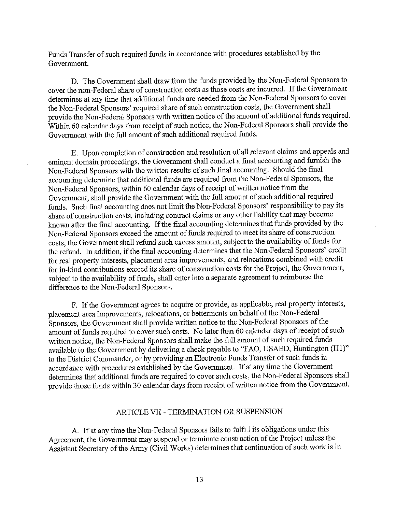Funds Transfer of such required funds in accordance with procedures established by the Goverrnnent.

D. The Government shall draw from the funds provided by the Non-Federal Sponsors to cover the non-Federal share of construction costs as those costs are incurred. If the Government determines at any time that additional funds are needed from the Non-Federal Sponsors to cover the Non-Federal Sponsors' required share of such construction costs, the Goverrnnent shall provide the Non-Federal Sponsors with written notice of the amount of additional funds required. Within 60 calendar days from receipt of such notice, the Non-Federal Sponsors shall provide the Goverrnnent with the full amount of such additional required funds.

E. Upon completion of construction and resolution of all relevant claims and appeals and eminent domain proceedings, the Government shall conduct a final accounting and furnish the Non-Federal Sponsors with the written results of such final accounting. Should the final accounting determine that additional funds are required from the Non-Federal Sponsors, the Non-Federal Sponsors, within 60 calendar days of receipt of written notice from the Government, shall provide the Government with the full amount of such additional required funds. Such final accounting does not limit the Non-Federal Sponsors' responsibility to pay its share of construction costs, including contract claims or any other liability that may become known after the final accounting. If the final accounting determines that funds provided by the Non-Federal Sponsors exceed the amount of funds required to meet its share of construction costs, the Government shall refund such excess amount, subject to the availability of funds for the refund. In addition, if the final accounting determines that the Non-Federal Sponsors' credit for real property interests, placement area improvements, and relocations combined with credit for in-kind contributions exceed its share of construction costs for the Project, the Government, subject to the availability of funds, shall enter into a separate agreement to reimburse the difference to the Non-Federal Sponsors.

F. If the Government agrees to acquire or provide, as applicable, real property interests, placement area improvements, relocations, or betterments on behalf of the Non-Federal Sponsors, the Government shall provide written notice to the Non-Federal Sponsors of the amount of funds required to cover such costs. No later than 60 calendar days of receipt of such written notice, the Non-Federal Sponsors shall make the full amount of such required funds available to the Government by delivering a check payable to "FAO, USAED, Huntington (H1)" to the District Commander, or by providing an Electronic Funds Transfer of such funds in accordance with procedures established by the Goverrnnent. If at any time the Goverrnnent determines that additional funds are required to cover such costs, the Non-Federal Sponsors shall provide those funds within 30 calendar days from receipt of written notice from the Government.

# ARTICLE VII - TERMINATION OR SUSPENSION

A. If at any time the Non-Federal Sponsors fails to fulfill its obligations under this Agreement, the Government may suspend or terminate construction of the Project unless the Assistant Secretary of the Army (Civil Works) determines that continuation of such work is in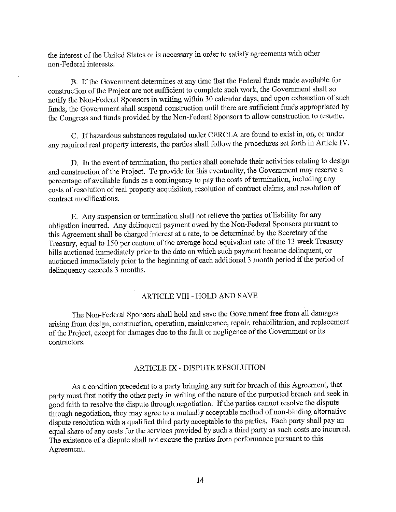the interest of the United States or is necessary in order to satisfy agreements with other non-Federal interests.

B. Ifthe Govermnent determines at any time that the Federal funds made available for construction of the Project are not sufficient to complete such work, the Government shall so notify the Non-Federal Sponsors in writing within 30 calendar days, and upon exhaustion of such funds, the Govermnent shall suspend construction until there are sufficient funds appropriated by the Congress and funds provided by the Non-Federal Sponsors to allow construction to resume.

C. Ifhazardous substances regulated under CERCLA are found to exist in, on, or under any required real property interests, the parties shall follow the procedures set forth in Article IV.

D. In the event of termination, the parties shall conclude their activities relating to design and construction of the Project. To provide for this eventuality, the Government may reserve a percentage of available funds as a contingency to pay the costs of termination, including any costs of resolution of real property acquisition, resolution of contract claims, and resolution of contract modifications.

E. Any suspension or termination shall not relieve the parties of liability for any obligation incurred. Any delinquent payment owed by the Non-Federal Sponsors pursuant to this Agreement shall be charged interest at a rate, to be determined by the Secretary of the Treasury, equal to 150 per centum of the average bond equivalent rate of the 13 week Treasury bills auctioned immediately prior to the date on which such payment became delinquent, or auctioned immediately prior to the beginning of each additional 3 month period if the period of delinquency exceeds 3 months.

# ARTICLE VIII-HOLD AND SAVE

The Non-Federal Sponsors shall hold and save the Government free from all damages arising from design, construction, operation, maintenance, repair, rehabilitation, and replacement of the Project, except for damages due to the fault or negligence ofthe Govermnent or its contractors.

### ARTICLE IX - DISPUTE RESOLUTION

As a condition precedent to a party bringing any suit for breach of this Agreement, that party must first notify the other party in writing of the nature of the purported breach and seek in good faith to resolve the dispute through negotiation. If the parties cannot resolve the dispute through negotiation, they may agree to a mutually acceptable method of non-binding alternative dispute resolution with a qualified third party acceptable to the parties. Each party shall pay an equal share of any costs for the services provided by such a third party as such costs are incurred. The existence of a dispute shall not excuse the parties from performance pursuant to this Agreement.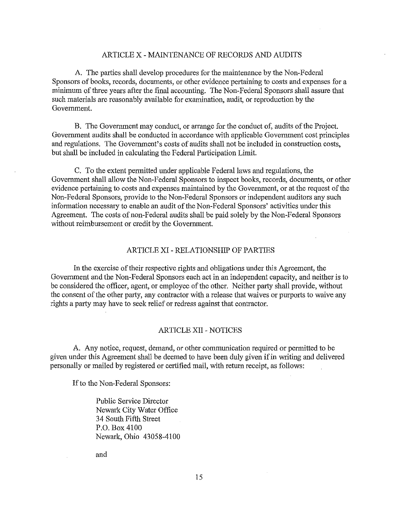# ARTICLE X - MAINTENANCE OF RECORDS AND AUDITS

A. The parties shall develop procedures for the maintenance by the Non-Federal Sponsors of books, records, documents, or other evidence pertaining to costs and expenses for a minimum of three years after the final accounting. The Non-Federal Sponsors shall assure that such materials are reasonably available for examination, audit, or reproduction by the Government.

B. The Government may conduct, or arrange for the conduct of, audits of the Project. Government audits shall be conducted in accordance with applicable Government cost principles and regulations. The Government's costs of audits shall not be included in construction costs, but shall be included in calculating the Federal Participation Limit.

C. To the extent permitted under applicable Federal laws and regulations, the Government shall allow the Non-Federal Sponsors to inspect books, records, documents, or other evidence pertaining to costs and expenses maintained by the Government, or at the request of the Non-Federal Sponsors, provide to the Non-Federal Sponsors or independent auditors any such information necessary to enable an audit ofthe Non-Federal Sponsors' activities under this Agreement. The costs of non-Federal audits shall be paid solely by the Non-Federal Sponsors without reimbursement or credit by the Government.

### ARTICLE XI - RELATIONSHIP OF PARTIES

In the exercise of their respective rights and obligations under this Agreement, the Government and the Non-Federal Sponsors each act in an independent capacity, and neither is to be considered the officer, agent, or employee of the other. Neither party shall provide, without the consent of the other party, any contractor with a release that waives or purports to waive any rights a party may have to seek relief or redress against that contractor.

## ARTICLE XII - NOTICES

A. Any notice, request, demand, or other communication required or permitted to be given under this Agreement shall be deemed to have been duly given ifin writing and delivered personally or mailed by registered or certified mail, with return receipt, as follows:

If to the Non-Federal Sponsors:

Public Service Director Newark City Water Office 34 South Fifth Street P.O. Box 4100 Newark, Ohio 43058-4100

and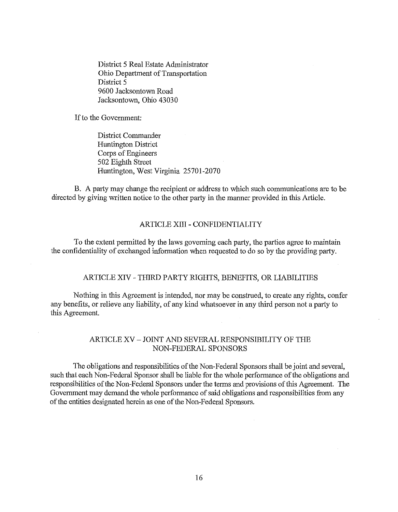District 5 Real Estate Administrator Ohio Department of Transportation District 5 9600 Jacksontown Road Jacksontown, Ohio 43030

If to the Government:

District Commander Huntington District Corps of Engineers 502 Eighth Street Huntington, West Virginia 25701-2070

B. A party may change the recipient or address to which such communications are to be directed by giving written notice to the other party in the manner provided in this Article.

# ARTICLE XIII - CONFIDENTIALITY

To the extent permitted by the laws governing each party, the parties agree to maintain the confidentiality of exchanged information when requested to do so by the providing party.

# ARTICLE XIV - THIRD PARTY RIGHTS, BENEFITS, OR LIABILITIES

Nothing in this Agreement is intended, nor may be construed, to create any rights, confer any benefits, or relieve any liability, of any kind whatsoever in any third person not a party to this Agreement.

## ARTICLE XV - JOINT AND SEVERAL RESPONSIBILITY OF THE NON-FEDERAL SPONSORS

The obligations and responsibilities of the Non-Federal Sponsors shall be joint and several, such that each Non-Federal Sponsor shall be liable for the whole performance of the obligations and responsibilities of the Non-Federal Sponsors under the terms and provisions of this Agreement. The Government may demand the whole performance of said obligations and responsibilities from any of the entities designated herein as one of the Non-Federal Sponsors.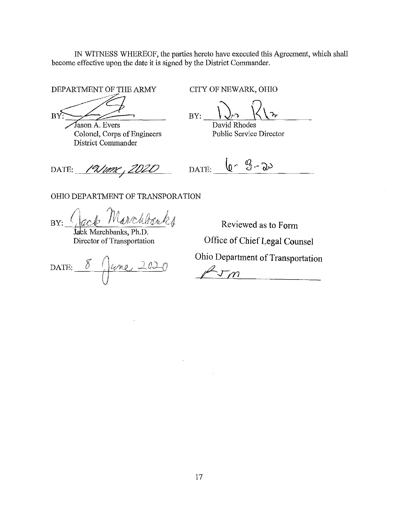IN WITNESS WHEREOF, the parties hereto have executed this Agreement, which shall become effective upon the date it is signed by the District Commander.

 $BY:$ DEPARTMENT OF THE ARMY CITY OF NEWARK, OHIO

Fason A. Evers<br>
Colonel, Corps of Engineers<br>
Public Service Director Colonel, Corps of Engineers District Commander

BY:

DATE: *19 June, 2020* 

DATE:  $\sqrt{6}$   $\sqrt{3}-20$ 

OHIO DEPARTMENT OF TRANSPORATION

hbánks  $BY:$ 

**fack Marchbanks, Ph.D.**<br>Director of Transportation

DATE:  $8 / \mu$ ne 2020

Reviewed as to Form Office of Chief Legal Counsel

Ohio Department of Transportation

 $\bar{m}$ 

 $\sim$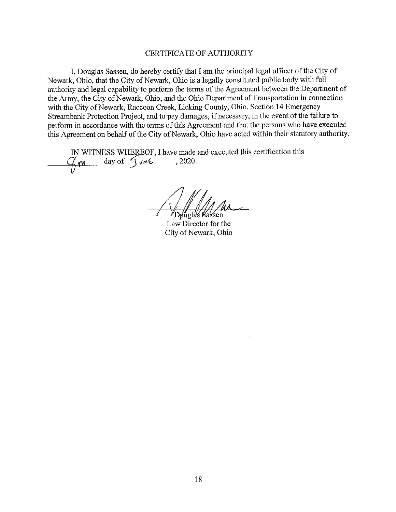### CERTIFICATE OF AUTHORITY

I, Douglas Sassen, do hereby certify that I am the principal legal officer of the City of Newark, Ohio, that the City of Newark, Ohio is a legally constituted public body with full authority and legal capability to perform the terms of the Agreement between the Department of the Army, the City of Newark, Ohio, and the Ohio Department of Transportation in connection with the City of Newark, Raccoon Creek, Licking County, Ohio, Section 14 Emergency Streambank Protection Project, and to pay damages, if necessary, in the event of the failure to perform in accordance with the terms of this Agreement and that the persons who have executed this Agreement on behalf of the City of Newark, Ohio have acted within their statutory authority.

IN WITNESS WHEREOF, I have made and executed this certification this  $\sqrt{\pi}$  day of  $\sqrt{\sqrt{n} \epsilon}$ , 2020.

Døuglas Bassen

Law Director for the City of Newark, Ohio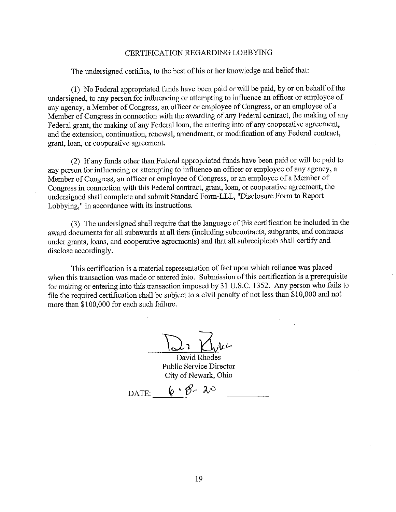#### CERTIFICATION REGARDING LOBBYING

The undersigned certifies, to the best of his or her knowledge and belief that:

(1) No Federal appropriated funds have been paid or will be paid, by or on behalf ofthe undersigned, to any person for influencing or attempting to influence an officer or employee of any agency, a Member of Congress, an officer or employee of Congress, or an employee of a Member of Congress in connection with the awarding of any Federal contract, the making of any Federal grant, the making of any Federal loan, the entering into of any cooperative agreement, and the extension, continuation, renewal, amendment, or modification of any Federal contract, grant, loan, or cooperative agreement.

(2) If any funds other than Federal appropriated funds have been paid or will be paid to any person for influencing or attempting to influence an officer or employee of any agency, a Member of Congress, an officer or employee of Congress, or an employee of a Member of Congress in connection with this Federal contract, grant, loan, or cooperative agreement, the undersigned shall complete and submit Standard Form-LLL, "Disclosure Form to Report Lobbying," in accordance with its instructions.

(3) The undersigned shall require that the language of this certification be included in the award documents for all subawards at all tiers (including subcontracts, subgrants, and contracts under grants, loans, and cooperative agreements) and that all subrecipients shall certify and disclose accordingly.

This certification is a material representation of fact upon which reliance was placed when this transaction was made or entered into. Submission of this certification is a prerequisite for making or entering into this transaction imposed by 31 U.S.C. 1352. Any person who fails to file the required certification shall be subject to a civil penalty of not less than \$10,000 and not more than \$100,000 for each such failure.

David Rhodes Public Service Director City of Newark, Ohio

DATE:  $\frac{1}{2} \cdot \mathcal{B} - \lambda^0$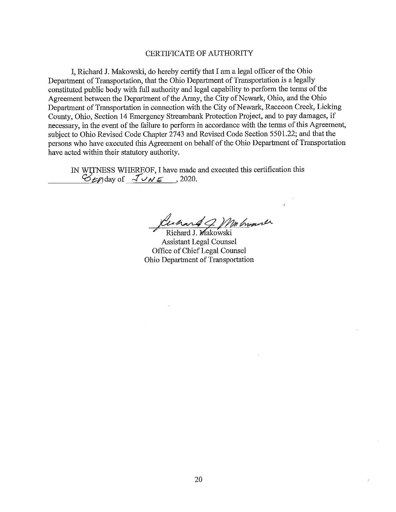## CERTIFICATE OF AUTHORITY

I, Richard J. Makowski, do hereby certify that I am a legal officer of the Ohio Department of Transportation, that the Ohio Department of Transportation is a legally constituted public body with full authority and legal capability to perform the terms of the Agreement between the Department of the Army, the City of Newark, Ohio, and the Ohio Department of Transportation in connection with the City of Newark, Raccoon Creek, Licking County, Ohio, Section 14 Emergency Streambank Protection Project, and to pay damages, if necessary, in the event of the failure to perform in accordance with the terms of this Agreement, subject to Ohio Revised Code Chapter 2743 and Revised Code Section 5501.22; and that the persons who have executed this Agreement on behalf of the Ohio Department of Transportation have acted within their statutory authority.

IN wiTNESS WHEREOF, I have made and executed this certification this  $\mathcal{B}_{\mathcal{L}}$  *M* and  $\mathcal{A}_{\mathcal{L}}$  *V N E*, 2020.

*<i>Luchard G. Mr broard* 

Assistant Legal Counsel Office of Chief Legal Counsel Ohio Depatiment of Transportation